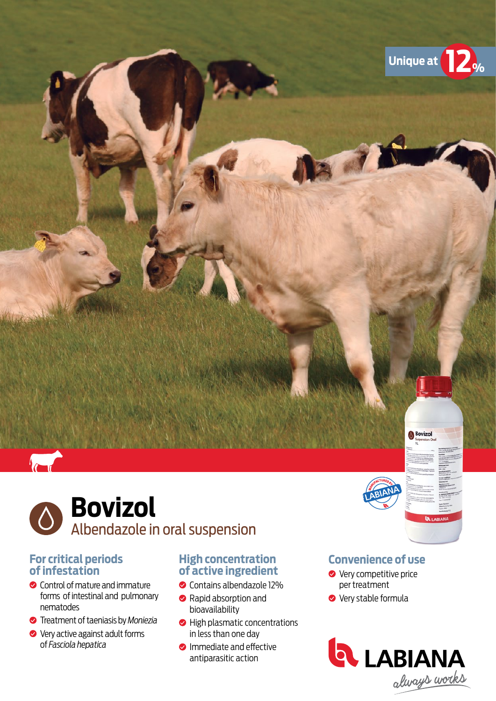

# **Bovizol** Albendazole in oral suspension

### **For critical periods of infestation**

- **Control of mature and immature** forms of intestinal and pulmonary nematodes
- Treatment of taeniasis by *Moniezia*
- ◆ Very active against adult forms of *Fasciola hepatica*

# **High concentration of active ingredient**

- Contains albendazole 12%
- Rapid absorption and bioavailability
- High plasmatic concentrations in less than one day
- **O** Immediate and effective antiparasitic action

# **Convenience of use**

**Bovizol** 

- **◆** Very competitive price per treatment
- **Very stable formula**

A